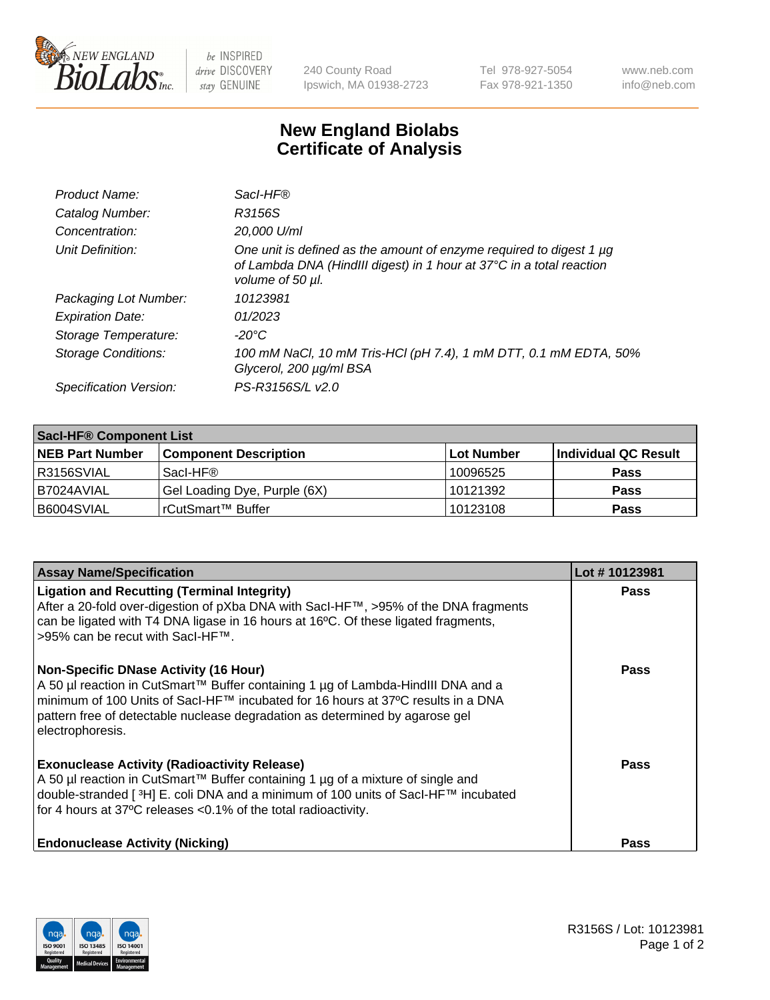

 $be$  INSPIRED drive DISCOVERY stay GENUINE

240 County Road Ipswich, MA 01938-2723 Tel 978-927-5054 Fax 978-921-1350 www.neb.com info@neb.com

## **New England Biolabs Certificate of Analysis**

| Product Name:              | Sacl-HF®                                                                                                                                                        |
|----------------------------|-----------------------------------------------------------------------------------------------------------------------------------------------------------------|
| Catalog Number:            | R3156S                                                                                                                                                          |
| Concentration:             | 20,000 U/ml                                                                                                                                                     |
| Unit Definition:           | One unit is defined as the amount of enzyme required to digest 1 µg<br>of Lambda DNA (HindIII digest) in 1 hour at 37°C in a total reaction<br>volume of 50 µl. |
| Packaging Lot Number:      | 10123981                                                                                                                                                        |
| <b>Expiration Date:</b>    | 01/2023                                                                                                                                                         |
| Storage Temperature:       | -20°C                                                                                                                                                           |
| <b>Storage Conditions:</b> | 100 mM NaCl, 10 mM Tris-HCl (pH 7.4), 1 mM DTT, 0.1 mM EDTA, 50%<br>Glycerol, 200 µg/ml BSA                                                                     |
| Specification Version:     | PS-R3156S/L v2.0                                                                                                                                                |

| Sacl-HF® Component List |                              |            |                      |  |  |
|-------------------------|------------------------------|------------|----------------------|--|--|
| <b>NEB Part Number</b>  | <b>Component Description</b> | Lot Number | Individual QC Result |  |  |
| I R3156SVIAL            | Sacl-HF®                     | 10096525   | <b>Pass</b>          |  |  |
| I B7024AVIAL            | Gel Loading Dye, Purple (6X) | 10121392   | <b>Pass</b>          |  |  |
| B6004SVIAL              | rCutSmart™ Buffer            | 10123108   | <b>Pass</b>          |  |  |

| <b>Assay Name/Specification</b>                                                                                                                                                                                                                                                                                          | Lot #10123981 |
|--------------------------------------------------------------------------------------------------------------------------------------------------------------------------------------------------------------------------------------------------------------------------------------------------------------------------|---------------|
| <b>Ligation and Recutting (Terminal Integrity)</b><br>After a 20-fold over-digestion of pXba DNA with Sacl-HF™, >95% of the DNA fragments<br>can be ligated with T4 DNA ligase in 16 hours at 16°C. Of these ligated fragments,<br>>95% can be recut with SacI-HF™.                                                      | <b>Pass</b>   |
| <b>Non-Specific DNase Activity (16 Hour)</b><br>A 50 µl reaction in CutSmart™ Buffer containing 1 µg of Lambda-HindIII DNA and a<br>minimum of 100 Units of Sacl-HF™ incubated for 16 hours at 37°C results in a DNA<br>pattern free of detectable nuclease degradation as determined by agarose gel<br>electrophoresis. | <b>Pass</b>   |
| <b>Exonuclease Activity (Radioactivity Release)</b><br>A 50 µl reaction in CutSmart™ Buffer containing 1 µg of a mixture of single and<br>double-stranded [3H] E. coli DNA and a minimum of 100 units of SacI-HF™ incubated<br>for 4 hours at 37°C releases <0.1% of the total radioactivity.                            | <b>Pass</b>   |
| <b>Endonuclease Activity (Nicking)</b>                                                                                                                                                                                                                                                                                   | Pass          |